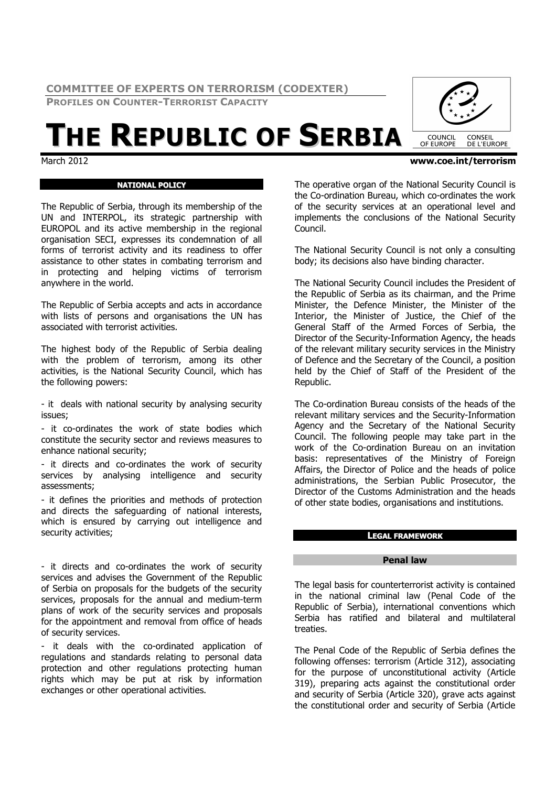**COMMITTEE OF EXPERTS ON TERRORISM (CODEXTER)** 

**PROFILES ON COUNTER-TERRORIST CAPACITY**

# $\frac{1}{\text{Martation}}$

# **NATIONAL POLICY**

The Republic of Serbia, through its membership of the UN and INTERPOL, its strategic partnership with EUROPOL and its active membership in the regional organisation SECI, expresses its condemnation of all forms of terrorist activity and its readiness to offer assistance to other states in combating terrorism and in protecting and helping victims of terrorism anywhere in the world.

The Republic of Serbia accepts and acts in accordance with lists of persons and organisations the UN has associated with terrorist activities.

The highest body of the Republic of Serbia dealing with the problem of terrorism, among its other activities, is the National Security Council, which has the following powers:

- it deals with national security by analysing security issues;

- it co-ordinates the work of state bodies which constitute the security sector and reviews measures to enhance national security;

- it directs and co-ordinates the work of security services by analysing intelligence and security assessments;

- it defines the priorities and methods of protection and directs the safeguarding of national interests, which is ensured by carrying out intelligence and security activities;

- it directs and co-ordinates the work of security services and advises the Government of the Republic of Serbia on proposals for the budgets of the security services, proposals for the annual and medium-term plans of work of the security services and proposals for the appointment and removal from office of heads of security services.

- it deals with the co-ordinated application of regulations and standards relating to personal data protection and other regulations protecting human rights which may be put at risk by information exchanges or other operational activities.

The operative organ of the National Security Council is the Co-ordination Bureau, which co-ordinates the work of the security services at an operational level and implements the conclusions of the National Security Council.

The National Security Council is not only a consulting body; its decisions also have binding character.

The National Security Council includes the President of the Republic of Serbia as its chairman, and the Prime Minister, the Defence Minister, the Minister of the Interior, the Minister of Justice, the Chief of the General Staff of the Armed Forces of Serbia, the Director of the Security-Information Agency, the heads of the relevant military security services in the Ministry of Defence and the Secretary of the Council, a position held by the Chief of Staff of the President of the Republic.

The Co-ordination Bureau consists of the heads of the relevant military services and the Security-Information Agency and the Secretary of the National Security Council. The following people may take part in the work of the Co-ordination Bureau on an invitation basis: representatives of the Ministry of Foreign Affairs, the Director of Police and the heads of police administrations, the Serbian Public Prosecutor, the Director of the Customs Administration and the heads of other state bodies, organisations and institutions.

# **LEGAL FRAMEWORK**

## **Penal law**

The legal basis for counterterrorist activity is contained in the national criminal law (Penal Code of the Republic of Serbia), international conventions which Serbia has ratified and bilateral and multilateral treaties.

The Penal Code of the Republic of Serbia defines the following offenses: terrorism (Article 312), associating for the purpose of unconstitutional activity (Article 319), preparing acts against the constitutional order and security of Serbia (Article 320), grave acts against the constitutional order and security of Serbia (Article



March 2012 **www.coe.int/terrorism**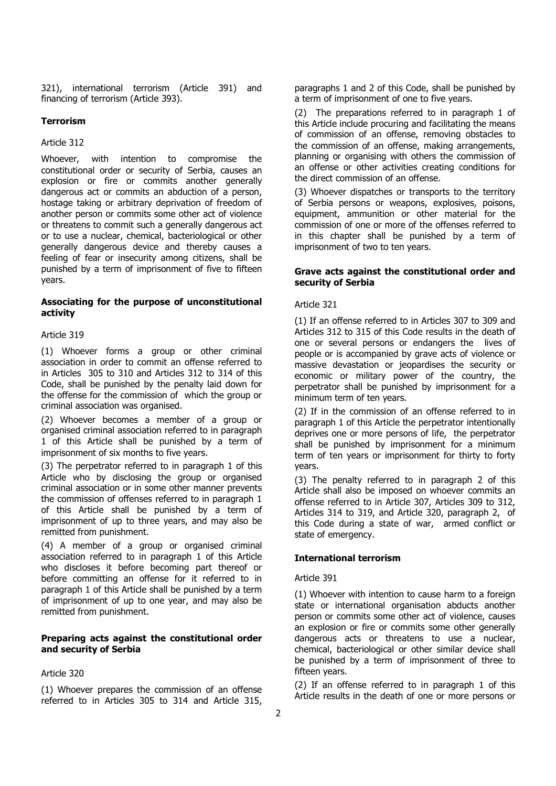321), international terrorism (Article 391) and financing of terrorism (Article 393).

## **Terrorism**

#### Article 312

Whoever, with intention to compromise the constitutional order or security of Serbia, causes an explosion or fire or commits another generally dangerous act or commits an abduction of a person, hostage taking or arbitrary deprivation of freedom of another person or commits some other act of violence or threatens to commit such a generally dangerous act or to use a nuclear, chemical, bacteriological or other generally dangerous device and thereby causes a feeling of fear or insecurity among citizens, shall be punished by a term of imprisonment of five to fifteen years.

## **Associating for the purpose of unconstitutional activity**

#### Article 319

(1) Whoever forms a group or other criminal association in order to commit an offense referred to in Articles 305 to 310 and Articles 312 to 314 of this Code, shall be punished by the penalty laid down for the offense for the commission of which the group or criminal association was organised.

(2) Whoever becomes a member of a group or organised criminal association referred to in paragraph 1 of this Article shall be punished by a term of imprisonment of six months to five years.

(3) The perpetrator referred to in paragraph 1 of this Article who by disclosing the group or organised criminal association or in some other manner prevents the commission of offenses referred to in paragraph 1 of this Article shall be punished by a term of imprisonment of up to three years, and may also be remitted from punishment.

(4) A member of a group or organised criminal association referred to in paragraph 1 of this Article who discloses it before becoming part thereof or before committing an offense for it referred to in paragraph 1 of this Article shall be punished by a term of imprisonment of up to one year, and may also be remitted from punishment.

## **Preparing acts against the constitutional order and security of Serbia**

#### Article 320

(1) Whoever prepares the commission of an offense referred to in Articles 305 to 314 and Article 315,

paragraphs 1 and 2 of this Code, shall be punished by a term of imprisonment of one to five years.

(2) The preparations referred to in paragraph 1 of this Article include procuring and facilitating the means of commission of an offense, removing obstacles to the commission of an offense, making arrangements, planning or organising with others the commission of an offense or other activities creating conditions for the direct commission of an offense.

(3) Whoever dispatches or transports to the territory of Serbia persons or weapons, explosives, poisons, equipment, ammunition or other material for the commission of one or more of the offenses referred to in this chapter shall be punished by a term of imprisonment of two to ten years.

## **Grave acts against the constitutional order and security of Serbia**

Article 321

(1) If an offense referred to in Articles 307 to 309 and Articles 312 to 315 of this Code results in the death of one or several persons or endangers the lives of people or is accompanied by grave acts of violence or massive devastation or jeopardises the security or economic or military power of the country, the perpetrator shall be punished by imprisonment for a minimum term of ten years.

(2) If in the commission of an offense referred to in paragraph 1 of this Article the perpetrator intentionally deprives one or more persons of life, the perpetrator shall be punished by imprisonment for a minimum term of ten years or imprisonment for thirty to forty years.

(3) The penalty referred to in paragraph 2 of this Article shall also be imposed on whoever commits an offense referred to in Article 307, Articles 309 to 312, Articles 314 to 319, and Article 320, paragraph 2, of this Code during a state of war, armed conflict or state of emergency.

#### **International terrorism**

#### Article 391

(1) Whoever with intention to cause harm to a foreign state or international organisation abducts another person or commits some other act of violence, causes an explosion or fire or commits some other generally dangerous acts or threatens to use a nuclear, chemical, bacteriological or other similar device shall be punished by a term of imprisonment of three to fifteen years.

(2) If an offense referred to in paragraph 1 of this Article results in the death of one or more persons or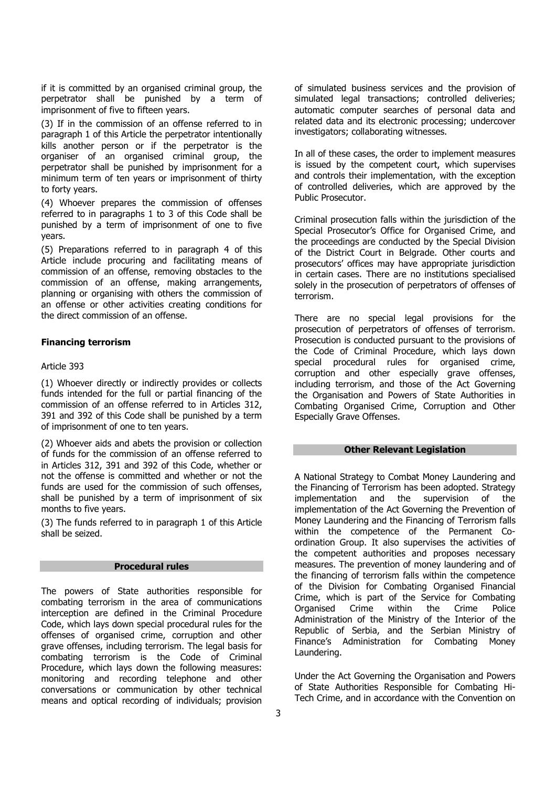if it is committed by an organised criminal group, the perpetrator shall be punished by a term of imprisonment of five to fifteen years.

(3) If in the commission of an offense referred to in paragraph 1 of this Article the perpetrator intentionally kills another person or if the perpetrator is the organiser of an organised criminal group, the perpetrator shall be punished by imprisonment for a minimum term of ten years or imprisonment of thirty to forty years.

(4) Whoever prepares the commission of offenses referred to in paragraphs 1 to 3 of this Code shall be punished by a term of imprisonment of one to five years.

(5) Preparations referred to in paragraph 4 of this Article include procuring and facilitating means of commission of an offense, removing obstacles to the commission of an offense, making arrangements, planning or organising with others the commission of an offense or other activities creating conditions for the direct commission of an offense.

# **Financing terrorism**

## Article 393

(1) Whoever directly or indirectly provides or collects funds intended for the full or partial financing of the commission of an offense referred to in Articles 312, 391 and 392 of this Code shall be punished by a term of imprisonment of one to ten years.

(2) Whoever aids and abets the provision or collection of funds for the commission of an offense referred to in Articles 312, 391 and 392 of this Code, whether or not the offense is committed and whether or not the funds are used for the commission of such offenses, shall be punished by a term of imprisonment of six months to five years.

(3) The funds referred to in paragraph 1 of this Article shall be seized.

## **Procedural rules**

The powers of State authorities responsible for combating terrorism in the area of communications interception are defined in the Criminal Procedure Code, which lays down special procedural rules for the offenses of organised crime, corruption and other grave offenses, including terrorism. The legal basis for combating terrorism is the Code of Criminal Procedure, which lays down the following measures: monitoring and recording telephone and other conversations or communication by other technical means and optical recording of individuals; provision

of simulated business services and the provision of simulated legal transactions; controlled deliveries; automatic computer searches of personal data and related data and its electronic processing; undercover investigators; collaborating witnesses.

In all of these cases, the order to implement measures is issued by the competent court, which supervises and controls their implementation, with the exception of controlled deliveries, which are approved by the Public Prosecutor.

Criminal prosecution falls within the jurisdiction of the Special Prosecutor's Office for Organised Crime, and the proceedings are conducted by the Special Division of the District Court in Belgrade. Other courts and prosecutors' offices may have appropriate jurisdiction in certain cases. There are no institutions specialised solely in the prosecution of perpetrators of offenses of terrorism.

There are no special legal provisions for the prosecution of perpetrators of offenses of terrorism. Prosecution is conducted pursuant to the provisions of the Code of Criminal Procedure, which lays down special procedural rules for organised crime, corruption and other especially grave offenses, including terrorism, and those of the Act Governing the Organisation and Powers of State Authorities in Combating Organised Crime, Corruption and Other Especially Grave Offenses.

#### **Other Relevant Legislation**

A National Strategy to Combat Money Laundering and the Financing of Terrorism has been adopted. Strategy<br>implementation and the supervision of the implementation and the supervision of the implementation of the Act Governing the Prevention of Money Laundering and the Financing of Terrorism falls within the competence of the Permanent Coordination Group. It also supervises the activities of the competent authorities and proposes necessary measures. The prevention of money laundering and of the financing of terrorism falls within the competence of the Division for Combating Organised Financial Crime, which is part of the Service for Combating Organised Crime within the Crime Police Administration of the Ministry of the Interior of the Republic of Serbia, and the Serbian Ministry of Finance's Administration for Combating Money Laundering.

Under the Act Governing the Organisation and Powers of State Authorities Responsible for Combating Hi-Tech Crime, and in accordance with the Convention on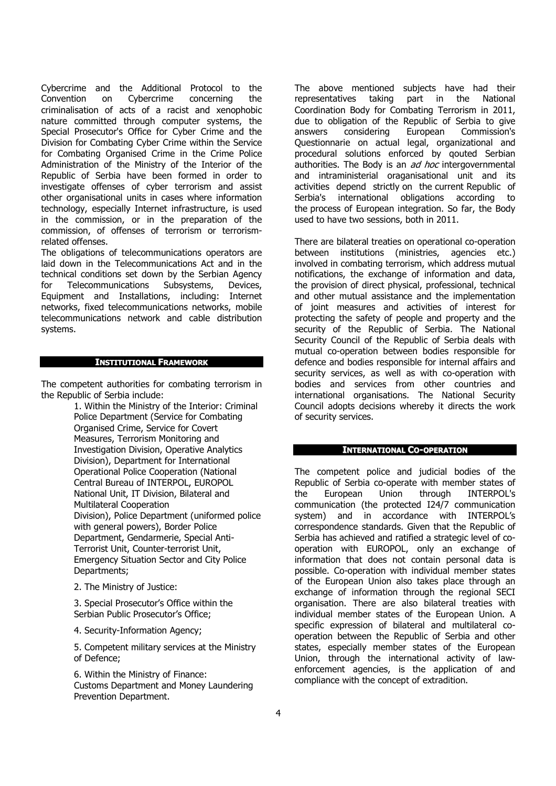Cybercrime and the Additional Protocol to the Convention on Cybercrime concerning the criminalisation of acts of a racist and xenophobic nature committed through computer systems, the Special Prosecutor's Office for Cyber Crime and the Division for Combating Cyber Crime within the Service for Combating Organised Crime in the Crime Police Administration of the Ministry of the Interior of the Republic of Serbia have been formed in order to investigate offenses of cyber terrorism and assist other organisational units in cases where information technology, especially Internet infrastructure, is used in the commission, or in the preparation of the commission, of offenses of terrorism or terrorismrelated offenses.

The obligations of telecommunications operators are laid down in the Telecommunications Act and in the technical conditions set down by the Serbian Agency for Telecommunications Subsystems, Devices, Equipment and Installations, including: Internet networks, fixed telecommunications networks, mobile telecommunications network and cable distribution systems.

#### **INSTITUTIONAL FRAMEWORK**

The competent authorities for combating terrorism in the Republic of Serbia include:

> 1. Within the Ministry of the Interior: Criminal Police Department (Service for Combating Organised Crime, Service for Covert Measures, Terrorism Monitoring and Investigation Division, Operative Analytics Division), Department for International Operational Police Cooperation (National Central Bureau of INTERPOL, EUROPOL National Unit, IT Division, Bilateral and Multilateral Cooperation Division), Police Department (uniformed police with general powers), Border Police Department, Gendarmerie, Special Anti-Terrorist Unit, Counter-terrorist Unit, Emergency Situation Sector and City Police Departments;

2. The Ministry of Justice:

3. Special Prosecutor's Office within the Serbian Public Prosecutor's Office;

4. Security-Information Agency;

5. Competent military services at the Ministry of Defence;

6. Within the Ministry of Finance: Customs Department and Money Laundering Prevention Department.

The above mentioned subjects have had their representatives taking part in the National Coordination Body for Combating Terrorism in 2011, due to obligation of the Republic of Serbia to give answers considering European Commission's Questionnarie on actual legal, organizational and procedural solutions enforced by qouted Serbian authorities. The Body is an *ad hoc* intergovernmental and intraministerial oraganisational unit and its activities depend strictly on the current Republic of Serbia's international obligations according to the process of European integration. So far, the Body used to have two sessions, both in 2011.

There are bilateral treaties on operational co-operation between institutions (ministries, agencies etc.) involved in combating terrorism, which address mutual notifications, the exchange of information and data, the provision of direct physical, professional, technical and other mutual assistance and the implementation of joint measures and activities of interest for protecting the safety of people and property and the security of the Republic of Serbia. The National Security Council of the Republic of Serbia deals with mutual co-operation between bodies responsible for defence and bodies responsible for internal affairs and security services, as well as with co-operation with bodies and services from other countries and international organisations. The National Security Council adopts decisions whereby it directs the work of security services.

## **INTERNATIONAL CO-OPERATION**

The competent police and judicial bodies of the Republic of Serbia co-operate with member states of the European Union through INTERPOL's communication (the protected I24/7 communication system) and in accordance with INTERPOL's correspondence standards. Given that the Republic of Serbia has achieved and ratified a strategic level of cooperation with EUROPOL, only an exchange of information that does not contain personal data is possible. Co-operation with individual member states of the European Union also takes place through an exchange of information through the regional SECI organisation. There are also bilateral treaties with individual member states of the European Union. A specific expression of bilateral and multilateral cooperation between the Republic of Serbia and other states, especially member states of the European Union, through the international activity of lawenforcement agencies, is the application of and compliance with the concept of extradition.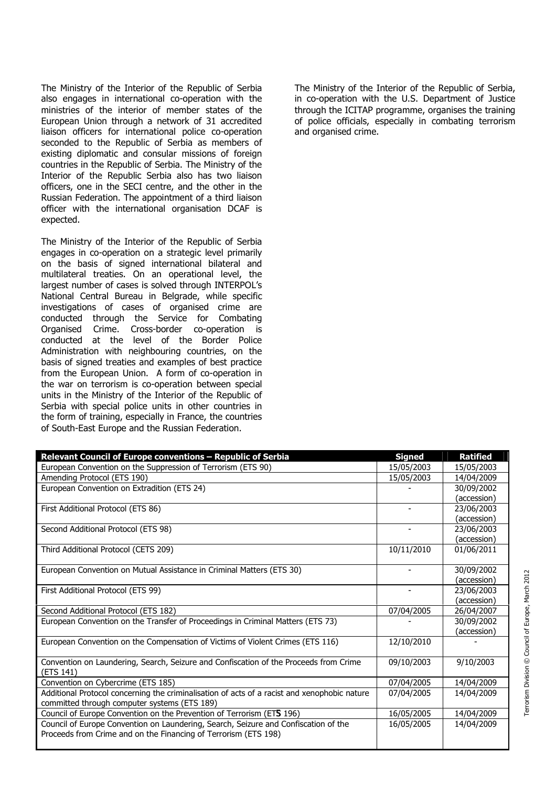The Ministry of the Interior of the Republic of Serbia also engages in international co-operation with the ministries of the interior of member states of the European Union through a network of 31 accredited liaison officers for international police co-operation seconded to the Republic of Serbia as members of existing diplomatic and consular missions of foreign countries in the Republic of Serbia. The Ministry of the Interior of the Republic Serbia also has two liaison officers, one in the SECI centre, and the other in the Russian Federation. The appointment of a third liaison officer with the international organisation DCAF is expected.

The Ministry of the Interior of the Republic of Serbia engages in co-operation on a strategic level primarily on the basis of signed international bilateral and multilateral treaties. On an operational level, the largest number of cases is solved through INTERPOL's National Central Bureau in Belgrade, while specific investigations of cases of organised crime are conducted through the Service for Combating Organised Crime. Cross-border co-operation is conducted at the level of the Border Police Administration with neighbouring countries, on the basis of signed treaties and examples of best practice from the European Union. A form of co-operation in the war on terrorism is co-operation between special units in the Ministry of the Interior of the Republic of Serbia with special police units in other countries in the form of training, especially in France, the countries of South-East Europe and the Russian Federation.

The Ministry of the Interior of the Republic of Serbia, in co-operation with the U.S. Department of Justice through the ICITAP programme, organises the training of police officials, especially in combating terrorism and organised crime.

| Relevant Council of Europe conventions - Republic of Serbia                                  | <b>Signed</b>  | <b>Ratified</b> |
|----------------------------------------------------------------------------------------------|----------------|-----------------|
| European Convention on the Suppression of Terrorism (ETS 90)                                 | 15/05/2003     | 15/05/2003      |
| Amending Protocol (ETS 190)                                                                  | 15/05/2003     | 14/04/2009      |
| European Convention on Extradition (ETS 24)                                                  |                | 30/09/2002      |
|                                                                                              |                | (accession)     |
| First Additional Protocol (ETS 86)                                                           |                | 23/06/2003      |
|                                                                                              |                | (accession)     |
| Second Additional Protocol (ETS 98)                                                          |                | 23/06/2003      |
|                                                                                              |                | (accession)     |
| Third Additional Protocol (CETS 209)                                                         | 10/11/2010     | 01/06/2011      |
|                                                                                              |                |                 |
| European Convention on Mutual Assistance in Criminal Matters (ETS 30)                        |                | 30/09/2002      |
|                                                                                              |                | (accession)     |
| First Additional Protocol (ETS 99)                                                           | $\blacksquare$ | 23/06/2003      |
|                                                                                              |                | (accession)     |
| Second Additional Protocol (ETS 182)                                                         | 07/04/2005     | 26/04/2007      |
| European Convention on the Transfer of Proceedings in Criminal Matters (ETS 73)              |                | 30/09/2002      |
|                                                                                              |                | (accession)     |
| European Convention on the Compensation of Victims of Violent Crimes (ETS 116)               | 12/10/2010     |                 |
|                                                                                              |                |                 |
| Convention on Laundering, Search, Seizure and Confiscation of the Proceeds from Crime        | 09/10/2003     | 9/10/2003       |
| (ETS 141)                                                                                    |                |                 |
| Convention on Cybercrime (ETS 185)                                                           | 07/04/2005     | 14/04/2009      |
| Additional Protocol concerning the criminalisation of acts of a racist and xenophobic nature | 07/04/2005     | 14/04/2009      |
| committed through computer systems (ETS 189)                                                 |                |                 |
| Council of Europe Convention on the Prevention of Terrorism (ET5 196)                        | 16/05/2005     | 14/04/2009      |
| Council of Europe Convention on Laundering, Search, Seizure and Confiscation of the          | 16/05/2005     | 14/04/2009      |
| Proceeds from Crime and on the Financing of Terrorism (ETS 198)                              |                |                 |
|                                                                                              |                |                 |